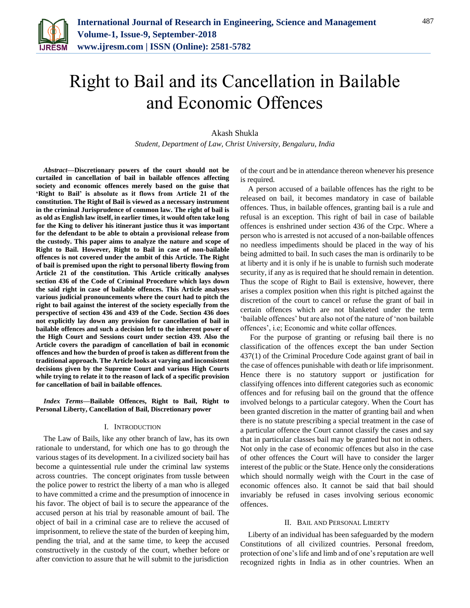

# Right to Bail and its Cancellation in Bailable and Economic Offences

# Akash Shukla

*Student, Department of Law, Christ University, Bengaluru, India*

*Abstract***—Discretionary powers of the court should not be curtailed in cancellation of bail in bailable offences affecting society and economic offences merely based on the guise that 'Right to Bail' is absolute as it flows from Article 21 of the constitution. The Right of Bail is viewed as a necessary instrument in the criminal Jurisprudence of common law. The right of bail is as old as English law itself, in earlier times, it would often take long for the King to deliver his itinerant justice thus it was important for the defendant to be able to obtain a provisional release from the custody. This paper aims to analyze the nature and scope of Right to Bail. However, Right to Bail in case of non-bailable offences is not covered under the ambit of this Article. The Right of bail is premised upon the right to personal liberty flowing from Article 21 of the constitution. This Article critically analyses section 436 of the Code of Criminal Procedure which lays down the said right in case of bailable offences. This Article analyses various judicial pronouncements where the court had to pitch the right to bail against the interest of the society especially from the perspective of section 436 and 439 of the Code. Section 436 does not explicitly lay down any provision for cancellation of bail in bailable offences and such a decision left to the inherent power of the High Court and Sessions court under section 439. Also the Article covers the paradigm of cancellation of bail in economic offences and how the burden of proof is taken as different from the traditional approach. The Article looks at varying and inconsistent decisions given by the Supreme Court and various High Courts while trying to relate it to the reason of lack of a specific provision for cancellation of bail in bailable offences.**

*Index Terms***—Bailable Offences, Right to Bail, Right to Personal Liberty, Cancellation of Bail, Discretionary power** 

#### I. INTRODUCTION

The Law of Bails, like any other branch of law, has its own rationale to understand, for which one has to go through the various stages of its development. In a civilized society bail has become a quintessential rule under the criminal law systems across countries. The concept originates from tussle between the police power to restrict the liberty of a man who is alleged to have committed a crime and the presumption of innocence in his favor. The object of bail is to secure the appearance of the accused person at his trial by reasonable amount of bail. The object of bail in a criminal case are to relieve the accused of imprisonment, to relieve the state of the burden of keeping him, pending the trial, and at the same time, to keep the accused constructively in the custody of the court, whether before or after conviction to assure that he will submit to the jurisdiction

of the court and be in attendance thereon whenever his presence is required.

A person accused of a bailable offences has the right to be released on bail, it becomes mandatory in case of bailable offences. Thus, in bailable offences, granting bail is a rule and refusal is an exception. This right of bail in case of bailable offences is enshrined under section 436 of the Crpc. Where a person who is arrested is not accused of a non-bailable offences no needless impediments should be placed in the way of his being admitted to bail. In such cases the man is ordinarily to be at liberty and it is only if he is unable to furnish such moderate security, if any as is required that he should remain in detention. Thus the scope of Right to Bail is extensive, however, there arises a complex position when this right is pitched against the discretion of the court to cancel or refuse the grant of bail in certain offences which are not blanketed under the term 'bailable offences' but are also not of the nature of 'non bailable offences', i.e; Economic and white collar offences.

For the purpose of granting or refusing bail there is no classification of the offences except the ban under Section 437(1) of the Criminal Procedure Code against grant of bail in the case of offences punishable with death or life imprisonment. Hence there is no statutory support or justification for classifying offences into different categories such as economic offences and for refusing bail on the ground that the offence involved belongs to a particular category. When the Court has been granted discretion in the matter of granting bail and when there is no statute prescribing a special treatment in the case of a particular offence the Court cannot classify the cases and say that in particular classes bail may be granted but not in others. Not only in the case of economic offences but also in the case of other offences the Court will have to consider the larger interest of the public or the State. Hence only the considerations which should normally weigh with the Court in the case of economic offences also. It cannot be said that bail should invariably be refused in cases involving serious economic offences.

#### II. BAIL AND PERSONAL LIBERTY

Liberty of an individual has been safeguarded by the modern Constitutions of all civilized countries. Personal freedom, protection of one's life and limb and of one's reputation are well recognized rights in India as in other countries. When an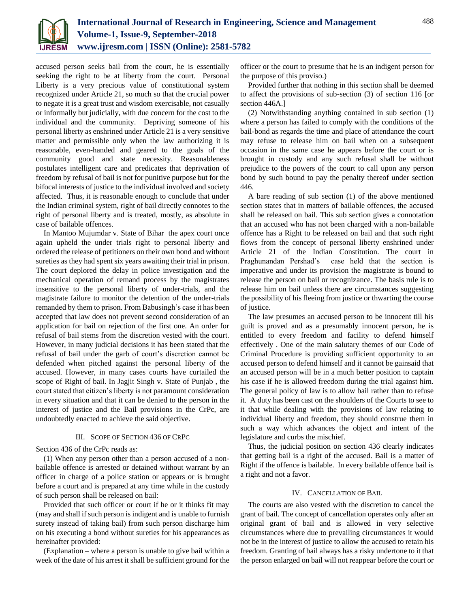

accused person seeks bail from the court, he is essentially seeking the right to be at liberty from the court. Personal Liberty is a very precious value of constitutional system recognized under Article 21, so much so that the crucial power to negate it is a great trust and wisdom exercisable, not casually or informally but judicially, with due concern for the cost to the individual and the community. Depriving someone of his personal liberty as enshrined under Article 21 is a very sensitive matter and permissible only when the law authorizing it is reasonable, even-handed and geared to the goals of the community good and state necessity. Reasonableness postulates intelligent care and predicates that deprivation of freedom by refusal of bail is not for punitive purpose but for the bifocal interests of justice to the individual involved and society affected. Thus, it is reasonable enough to conclude that under the Indian criminal system, right of bail directly connotes to the right of personal liberty and is treated, mostly, as absolute in case of bailable offences.

In Mantoo Mujumdar v. State of Bihar the apex court once again upheld the under trials right to personal liberty and ordered the release of petitioners on their own bond and without sureties as they had spent six years awaiting their trial in prison. The court deplored the delay in police investigation and the mechanical operation of remand process by the magistrates insensitive to the personal liberty of under-trials, and the magistrate failure to monitor the detention of the under-trials remanded by them to prison. From Babusingh's case it has been accepted that law does not prevent second consideration of an application for bail on rejection of the first one. An order for refusal of bail stems from the discretion vested with the court. However, in many judicial decisions it has been stated that the refusal of bail under the garb of court's discretion cannot be defended when pitched against the personal liberty of the accused. However, in many cases courts have curtailed the scope of Right of bail. In Jagjit Singh v. State of Punjab , the court stated that citizen's liberty is not paramount consideration in every situation and that it can be denied to the person in the interest of justice and the Bail provisions in the CrPc, are undoubtedly enacted to achieve the said objective.

# III. SCOPE OF SECTION 436 OF CRPC

Section 436 of the CrPc reads as:

(1) When any person other than a person accused of a nonbailable offence is arrested or detained without warrant by an officer in charge of a police station or appears or is brought before a court and is prepared at any time while in the custody of such person shall be released on bail:

Provided that such officer or court if he or it thinks fit may (may and shall if such person is indigent and is unable to furnish surety instead of taking bail) from such person discharge him on his executing a bond without sureties for his appearances as hereinafter provided:

(Explanation – where a person is unable to give bail within a week of the date of his arrest it shall be sufficient ground for the

officer or the court to presume that he is an indigent person for the purpose of this proviso.)

Provided further that nothing in this section shall be deemed to affect the provisions of sub-section (3) of section 116 [or section 446A.]

(2) Notwithstanding anything contained in sub section (1) where a person has failed to comply with the conditions of the bail-bond as regards the time and place of attendance the court may refuse to release him on bail when on a subsequent occasion in the same case he appears before the court or is brought in custody and any such refusal shall be without prejudice to the powers of the court to call upon any person bond by such bound to pay the penalty thereof under section 446.

A bare reading of sub section (1) of the above mentioned section states that in matters of bailable offences, the accused shall be released on bail. This sub section gives a connotation that an accused who has not been charged with a non-bailable offence has a Right to be released on bail and that such right flows from the concept of personal liberty enshrined under Article 21 of the Indian Constitution. The court in Praghunandan Pershad's case held that the section is imperative and under its provision the magistrate is bound to release the person on bail or recognizance. The basis rule is to release him on bail unless there are circumstances suggesting the possibility of his fleeing from justice or thwarting the course of justice.

The law presumes an accused person to be innocent till his guilt is proved and as a presumably innocent person, he is entitled to every freedom and facility to defend himself effectively . One of the main salutary themes of our Code of Criminal Procedure is providing sufficient opportunity to an accused person to defend himself and it cannot be gainsaid that an accused person will be in a much better position to captain his case if he is allowed freedom during the trial against him. The general policy of law is to allow bail rather than to refuse it. A duty has been cast on the shoulders of the Courts to see to it that while dealing with the provisions of law relating to individual liberty and freedom, they should construe them in such a way which advances the object and intent of the legislature and curbs the mischief.

Thus, the judicial position on section 436 clearly indicates that getting bail is a right of the accused. Bail is a matter of Right if the offence is bailable. In every bailable offence bail is a right and not a favor.

### IV. CANCELLATION OF BAIL

The courts are also vested with the discretion to cancel the grant of bail. The concept of cancellation operates only after an original grant of bail and is allowed in very selective circumstances where due to prevailing circumstances it would not be in the interest of justice to allow the accused to retain his freedom. Granting of bail always has a risky undertone to it that the person enlarged on bail will not reappear before the court or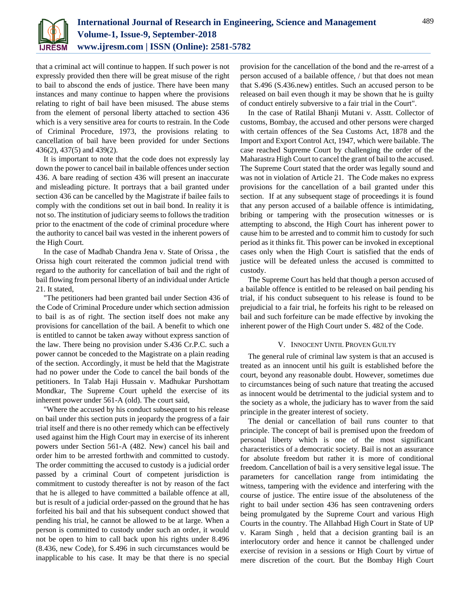

that a criminal act will continue to happen. If such power is not expressly provided then there will be great misuse of the right to bail to abscond the ends of justice. There have been many instances and many continue to happen where the provisions relating to right of bail have been misused. The abuse stems from the element of personal liberty attached to section 436 which is a very sensitive area for courts to restrain. In the Code of Criminal Procedure, 1973, the provisions relating to cancellation of bail have been provided for under Sections 436(2), 437(5) and 439(2).

It is important to note that the code does not expressly lay down the power to cancel bail in bailable offences under section 436. A bare reading of section 436 will present an inaccurate and misleading picture. It portrays that a bail granted under section 436 can be cancelled by the Magistrate if bailee fails to comply with the conditions set out in bail bond. In reality it is not so. The institution of judiciary seems to follows the tradition prior to the enactment of the code of criminal procedure where the authority to cancel bail was vested in the inherent powers of the High Court.

In the case of Madhab Chandra Jena v. State of Orissa , the Orissa high court reiterated the common judicial trend with regard to the authority for cancellation of bail and the right of bail flowing from personal liberty of an individual under Article 21. It stated,

"The petitioners had been granted bail under Section 436 of the Code of Criminal Procedure under which section admission to bail is as of right. The section itself does not make any provisions for cancellation of the bail. A benefit to which one is entitled to cannot be taken away without express sanction of the law. There being no provision under S.436 Cr.P.C. such a power cannot be conceded to the Magistrate on a plain reading of the section. Accordingly, it must be held that the Magistrate had no power under the Code to cancel the bail bonds of the petitioners. In Talab Haji Hussain v. Madhukar Purshottam Mondkar, The Supreme Court upheld the exercise of its inherent power under 561-A (old). The court said,

"Where the accused by his conduct subsequent to his release on bail under this section puts in jeopardy the progress of a fair trial itself and there is no other remedy which can be effectively used against him the High Court may in exercise of its inherent powers under Section 561-A (482. New) cancel his bail and order him to be arrested forthwith and committed to custody. The order committing the accused to custody is a judicial order passed by a criminal Court of competent jurisdiction is commitment to custody thereafter is not by reason of the fact that he is alleged to have committed a bailable offence at all, but is result of a judicial order-passed on the ground that he has forfeited his bail and that his subsequent conduct showed that pending his trial, he cannot be allowed to be at large. When a person is committed to custody under such an order, it would not be open to him to call back upon his rights under 8.496 (8.436, new Code), for S.496 in such circumstances would be inapplicable to his case. It may be that there is no special

provision for the cancellation of the bond and the re-arrest of a person accused of a bailable offence, / but that does not mean that S.496 (S.436.new) entitles. Such an accused person to be released on bail even though it may be shown that he is guilty of conduct entirely subversive to a fair trial in the Court".

In the case of Ratilal Bhanji Mutani v. Asstt. Collector of customs, Bombay, the accused and other persons were charged with certain offences of the Sea Customs Act, 1878 and the Import and Export Control Act, 1947, which were bailable. The case reached Supreme Court by challenging the order of the Maharastra High Court to cancel the grant of bail to the accused. The Supreme Court stated that the order was legally sound and was not in violation of Article 21. The Code makes no express provisions for the cancellation of a bail granted under this section. If at any subsequent stage of proceedings it is found that any person accused of a bailable offence is intimidating, bribing or tampering with the prosecution witnesses or is attempting to abscond, the High Court has inherent power to cause him to be arrested and to commit him to custody for such period as it thinks fit. This power can be invoked in exceptional cases only when the High Court is satisfied that the ends of justice will be defeated unless the accused is committed to custody.

The Supreme Court has held that though a person accused of a bailable offence is entitled to be released on bail pending his trial, if his conduct subsequent to his release is found to be prejudicial to a fair trial, he forfeits his right to be released on bail and such forfeiture can be made effective by invoking the inherent power of the High Court under S. 482 of the Code.

#### V. INNOCENT UNTIL PROVEN GUILTY

The general rule of criminal law system is that an accused is treated as an innocent until his guilt is established before the court, beyond any reasonable doubt. However, sometimes due to circumstances being of such nature that treating the accused as innocent would be detrimental to the judicial system and to the society as a whole, the judiciary has to waver from the said principle in the greater interest of society.

The denial or cancellation of bail runs counter to that principle. The concept of bail is premised upon the freedom of personal liberty which is one of the most significant characteristics of a democratic society. Bail is not an assurance for absolute freedom but rather it is more of conditional freedom. Cancellation of bail is a very sensitive legal issue. The parameters for cancellation range from intimidating the witness, tampering with the evidence and interfering with the course of justice. The entire issue of the absoluteness of the right to bail under section 436 has seen contravening orders being promulgated by the Supreme Court and various High Courts in the country. The Allahbad High Court in State of UP v. Karam Singh , held that a decision granting bail is an interlocutory order and hence it cannot be challenged under exercise of revision in a sessions or High Court by virtue of mere discretion of the court. But the Bombay High Court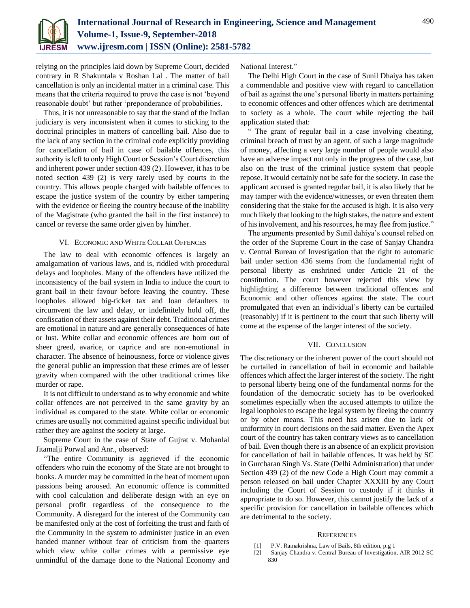

relying on the principles laid down by Supreme Court, decided contrary in R Shakuntala v Roshan Lal . The matter of bail cancellation is only an incidental matter in a criminal case. This means that the criteria required to prove the case is not 'beyond reasonable doubt' but rather 'preponderance of probabilities.

Thus, it is not unreasonable to say that the stand of the Indian judiciary is very inconsistent when it comes to sticking to the doctrinal principles in matters of cancelling bail. Also due to the lack of any section in the criminal code explicitly providing for cancellation of bail in case of bailable offences, this authority is left to only High Court or Session's Court discretion and inherent power under section 439 (2). However, it has to be noted section 439 (2) is very rarely used by courts in the country. This allows people charged with bailable offences to escape the justice system of the country by either tampering with the evidence or fleeing the country because of the inability of the Magistrate (who granted the bail in the first instance) to cancel or reverse the same order given by him/her.

## VI. ECONOMIC AND WHITE COLLAR OFFENCES

The law to deal with economic offences is largely an amalgamation of various laws, and is, riddled with procedural delays and loopholes. Many of the offenders have utilized the inconsistency of the bail system in India to induce the court to grant bail in their favour before leaving the country. These loopholes allowed big-ticket tax and loan defaulters to circumvent the law and delay, or indefinitely hold off, the confiscation of their assets against their debt. Traditional crimes are emotional in nature and are generally consequences of hate or lust. White collar and economic offences are born out of sheer greed, avarice, or caprice and are non-emotional in character. The absence of heinousness, force or violence gives the general public an impression that these crimes are of lesser gravity when compared with the other traditional crimes like murder or rape.

It is not difficult to understand as to why economic and white collar offences are not perceived in the same gravity by an individual as compared to the state. White collar or economic crimes are usually not committed against specific individual but rather they are against the society at large.

Supreme Court in the case of State of Gujrat v. Mohanlal Jitamalji Porwal and Anr., observed:

"The entire Community is aggrieved if the economic offenders who ruin the economy of the State are not brought to books. A murder may be committed in the heat of moment upon passions being aroused. An economic offence is committed with cool calculation and deliberate design with an eye on personal profit regardless of the consequence to the Community. A disregard for the interest of the Community can be manifested only at the cost of forfeiting the trust and faith of the Community in the system to administer justice in an even handed manner without fear of criticism from the quarters which view white collar crimes with a permissive eye unmindful of the damage done to the National Economy and National Interest."

The Delhi High Court in the case of Sunil Dhaiya has taken a commendable and positive view with regard to cancellation of bail as against the one's personal liberty in matters pertaining to economic offences and other offences which are detrimental to society as a whole. The court while rejecting the bail application stated that:

" The grant of regular bail in a case involving cheating, criminal breach of trust by an agent, of such a large magnitude of money, affecting a very large number of people would also have an adverse impact not only in the progress of the case, but also on the trust of the criminal justice system that people repose. It would certainly not be safe for the society. In case the applicant accused is granted regular bail, it is also likely that he may tamper with the evidence/witnesses, or even threaten them considering that the stake for the accused is high. It is also very much likely that looking to the high stakes, the nature and extent of his involvement, and his resources, he may flee from justice."

The arguments presented by Sunil dahiya's counsel relied on the order of the Supreme Court in the case of Sanjay Chandra v. Central Bureau of Investigation that the right to automatic bail under section 436 stems from the fundamental right of personal liberty as enshrined under Article 21 of the constitution. The court however rejected this view by highlighting a difference between traditional offences and Economic and other offences against the state. The court promulgated that even an individual's liberty can be curtailed (reasonably) if it is pertinent to the court that such liberty will come at the expense of the larger interest of the society.

#### VII. CONCLUSION

The discretionary or the inherent power of the court should not be curtailed in cancellation of bail in economic and bailable offences which affect the larger interest of the society. The right to personal liberty being one of the fundamental norms for the foundation of the democratic society has to be overlooked sometimes especially when the accused attempts to utilize the legal loopholes to escape the legal system by fleeing the country or by other means. This need has arisen due to lack of uniformity in court decisions on the said matter. Even the Apex court of the country has taken contrary views as to cancellation of bail. Even though there is an absence of an explicit provision for cancellation of bail in bailable offences. It was held by SC in Gurcharan Singh Vs. State (Delhi Administration) that under Section 439 (2) of the new Code a High Court may commit a person released on bail under Chapter XXXIII by any Court including the Court of Session to custody if it thinks it appropriate to do so. However, this cannot justify the lack of a specific provision for cancellation in bailable offences which are detrimental to the society.

#### **REFERENCES**

- [1] P.V. Ramakrishna, Law of Bails, 8th edition, p.g 1
- [2] Sanjay Chandra v. Central Bureau of Investigation, AIR 2012 SC 830